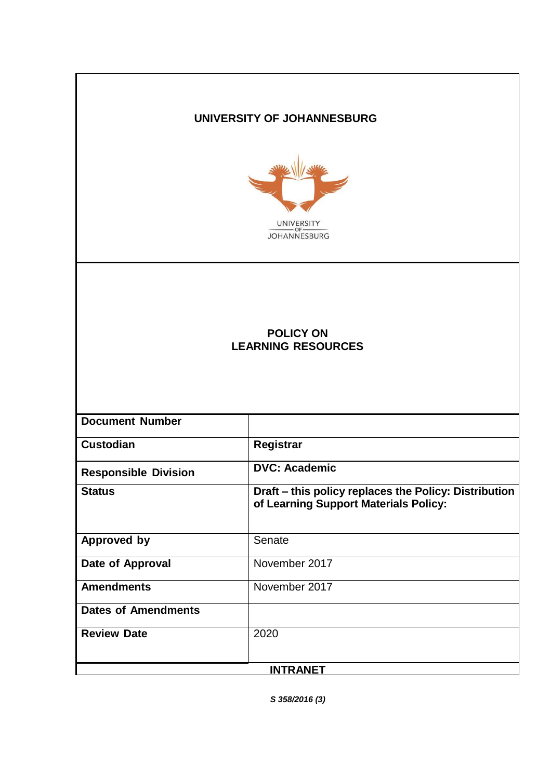# **UNIVERSITY OF JOHANNESBURG**



# **POLICY ON LEARNING RESOURCES**

| <b>Document Number</b>      |                                                                                                |  |
|-----------------------------|------------------------------------------------------------------------------------------------|--|
| <b>Custodian</b>            | Registrar                                                                                      |  |
| <b>Responsible Division</b> | <b>DVC: Academic</b>                                                                           |  |
| <b>Status</b>               | Draft – this policy replaces the Policy: Distribution<br>of Learning Support Materials Policy: |  |
| <b>Approved by</b>          | Senate                                                                                         |  |
| Date of Approval            | November 2017                                                                                  |  |
| <b>Amendments</b>           | November 2017                                                                                  |  |
| <b>Dates of Amendments</b>  |                                                                                                |  |
| <b>Review Date</b>          | 2020                                                                                           |  |
| <b>INTRANET</b>             |                                                                                                |  |

*S 358/2016 (3)*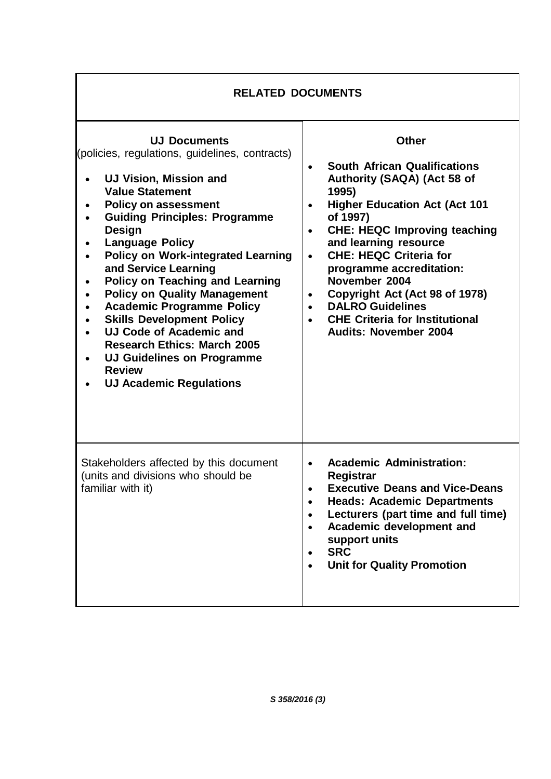| <b>RELATED DOCUMENTS</b>                                                                                                                                                                                                                                                                                                                                                                                                                                                                                                                                                                                                                  |                                                                                                                                                                                                                                                                                                                                                                                                                                                                                                      |  |
|-------------------------------------------------------------------------------------------------------------------------------------------------------------------------------------------------------------------------------------------------------------------------------------------------------------------------------------------------------------------------------------------------------------------------------------------------------------------------------------------------------------------------------------------------------------------------------------------------------------------------------------------|------------------------------------------------------------------------------------------------------------------------------------------------------------------------------------------------------------------------------------------------------------------------------------------------------------------------------------------------------------------------------------------------------------------------------------------------------------------------------------------------------|--|
| <b>UJ Documents</b><br>(policies, regulations, guidelines, contracts)<br><b>UJ Vision, Mission and</b><br><b>Value Statement</b><br><b>Policy on assessment</b><br><b>Guiding Principles: Programme</b><br>Design<br><b>Language Policy</b><br><b>Policy on Work-integrated Learning</b><br>and Service Learning<br><b>Policy on Teaching and Learning</b><br><b>Policy on Quality Management</b><br><b>Academic Programme Policy</b><br><b>Skills Development Policy</b><br><b>UJ Code of Academic and</b><br><b>Research Ethics: March 2005</b><br><b>UJ Guidelines on Programme</b><br><b>Review</b><br><b>UJ Academic Regulations</b> | <b>Other</b><br><b>South African Qualifications</b><br>$\bullet$<br>Authority (SAQA) (Act 58 of<br>1995)<br><b>Higher Education Act (Act 101</b><br>$\bullet$<br>of 1997)<br><b>CHE: HEQC Improving teaching</b><br>$\bullet$<br>and learning resource<br><b>CHE: HEQC Criteria for</b><br>$\bullet$<br>programme accreditation:<br>November 2004<br>Copyright Act (Act 98 of 1978)<br>$\bullet$<br><b>DALRO Guidelines</b><br><b>CHE Criteria for Institutional</b><br><b>Audits: November 2004</b> |  |
| Stakeholders affected by this document<br>(units and divisions who should be<br>familiar with it)                                                                                                                                                                                                                                                                                                                                                                                                                                                                                                                                         | <b>Academic Administration:</b><br>$\bullet$<br>Registrar<br><b>Executive Deans and Vice-Deans</b><br><b>Heads: Academic Departments</b><br>Lecturers (part time and full time)<br>Academic development and<br>$\bullet$<br>support units<br><b>SRC</b><br><b>Unit for Quality Promotion</b>                                                                                                                                                                                                         |  |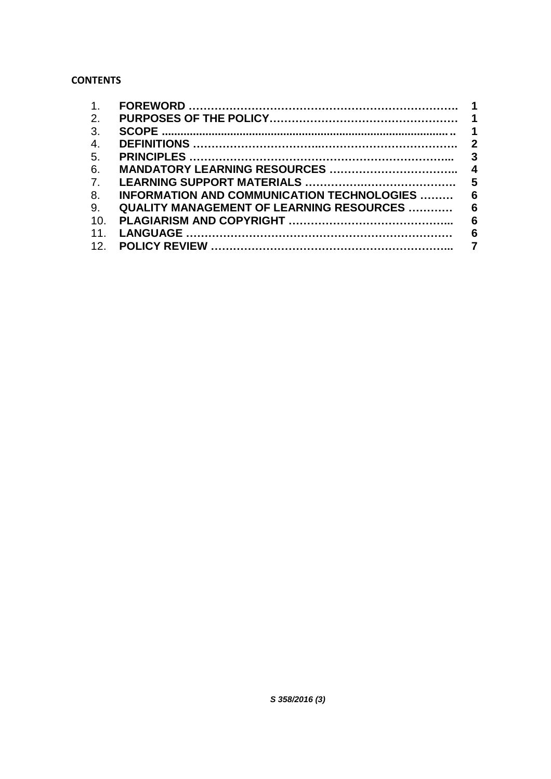# **CONTENTS**

| 1.              |                                                    |  |
|-----------------|----------------------------------------------------|--|
| 2.              |                                                    |  |
| 3.              |                                                    |  |
| 4.              |                                                    |  |
| 5.              |                                                    |  |
| 6.              |                                                    |  |
| 7.              |                                                    |  |
| 8.              | INFORMATION AND COMMUNICATION TECHNOLOGIES  6      |  |
| 9.              | <b>QUALITY MANAGEMENT OF LEARNING RESOURCES  6</b> |  |
| 10.             |                                                    |  |
| 11.             |                                                    |  |
| 12 <sub>1</sub> |                                                    |  |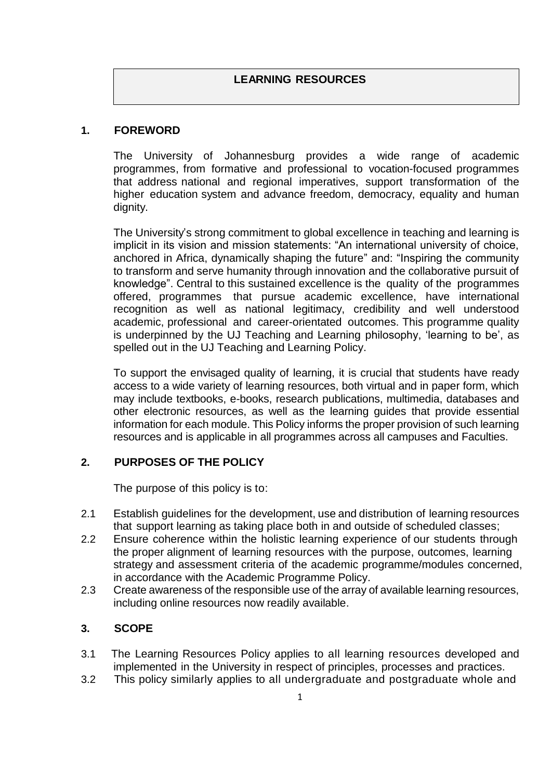## **1. FOREWORD**

The University of Johannesburg provides a wide range of academic programmes, from formative and professional to vocation-focused programmes that address national and regional imperatives, support transformation of the higher education system and advance freedom, democracy, equality and human dignity.

The University's strong commitment to global excellence in teaching and learning is implicit in its vision and mission statements: "An international university of choice, anchored in Africa, dynamically shaping the future" and: "Inspiring the community to transform and serve humanity through innovation and the collaborative pursuit of knowledge". Central to this sustained excellence is the quality of the programmes offered, programmes that pursue academic excellence, have international recognition as well as national legitimacy, credibility and well understood academic, professional and career-orientated outcomes. This programme quality is underpinned by the UJ Teaching and Learning philosophy, 'learning to be', as spelled out in the UJ Teaching and Learning Policy.

To support the envisaged quality of learning, it is crucial that students have ready access to a wide variety of learning resources, both virtual and in paper form, which may include textbooks, e-books, research publications, multimedia, databases and other electronic resources, as well as the learning guides that provide essential information for each module. This Policy informs the proper provision of such learning resources and is applicable in all programmes across all campuses and Faculties.

# <span id="page-3-0"></span>**2. PURPOSES OF THE POLICY**

The purpose of this policy is to:

- 2.1 Establish guidelines for the development, use and distribution of learning resources that support learning as taking place both in and outside of scheduled classes;
- 2.2 Ensure coherence within the holistic learning experience of our students through the proper alignment of learning resources with the purpose, outcomes, learning strategy and assessment criteria of the academic programme/modules concerned, in accordance with the Academic Programme Policy.
- 2.3 Create awareness of the responsible use of the array of available learning resources, including online resources now readily available.

#### <span id="page-3-1"></span>**3. SCOPE**

- 3.1 The Learning Resources Policy applies to all learning resources developed and implemented in the University in respect of principles, processes and practices.
- 3.2 This policy similarly applies to all undergraduate and postgraduate whole and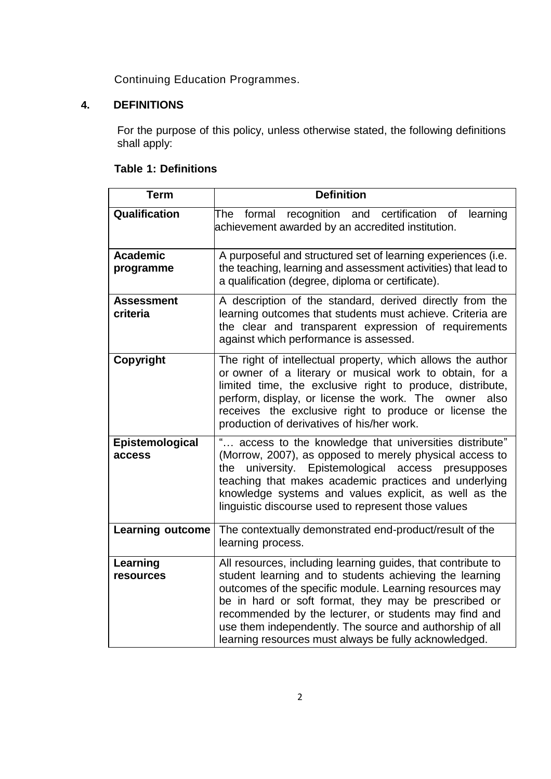Continuing Education Programmes.

# **4. DEFINITIONS**

For the purpose of this policy, unless otherwise stated, the following definitions shall apply:

# **Table 1: Definitions**

| <b>Term</b>                   | <b>Definition</b>                                                                                                                                                                                                                                                                                                                                                                                                        |  |
|-------------------------------|--------------------------------------------------------------------------------------------------------------------------------------------------------------------------------------------------------------------------------------------------------------------------------------------------------------------------------------------------------------------------------------------------------------------------|--|
| Qualification                 | recognition and certification<br>formal<br>learning<br>The<br>0f<br>achievement awarded by an accredited institution.                                                                                                                                                                                                                                                                                                    |  |
| <b>Academic</b><br>programme  | A purposeful and structured set of learning experiences (i.e.<br>the teaching, learning and assessment activities) that lead to<br>a qualification (degree, diploma or certificate).                                                                                                                                                                                                                                     |  |
| <b>Assessment</b><br>criteria | A description of the standard, derived directly from the<br>learning outcomes that students must achieve. Criteria are<br>the clear and transparent expression of requirements<br>against which performance is assessed.                                                                                                                                                                                                 |  |
| Copyright                     | The right of intellectual property, which allows the author<br>or owner of a literary or musical work to obtain, for a<br>limited time, the exclusive right to produce, distribute,<br>perform, display, or license the work. The owner<br>also<br>receives the exclusive right to produce or license the<br>production of derivatives of his/her work.                                                                  |  |
| Epistemological<br>access     | access to the knowledge that universities distribute"<br>(Morrow, 2007), as opposed to merely physical access to<br>university. Epistemological access presupposes<br>the<br>teaching that makes academic practices and underlying<br>knowledge systems and values explicit, as well as the<br>linguistic discourse used to represent those values                                                                       |  |
| <b>Learning outcome</b>       | The contextually demonstrated end-product/result of the<br>learning process.                                                                                                                                                                                                                                                                                                                                             |  |
| Learning<br>resources         | All resources, including learning guides, that contribute to<br>student learning and to students achieving the learning<br>outcomes of the specific module. Learning resources may<br>be in hard or soft format, they may be prescribed or<br>recommended by the lecturer, or students may find and<br>use them independently. The source and authorship of all<br>learning resources must always be fully acknowledged. |  |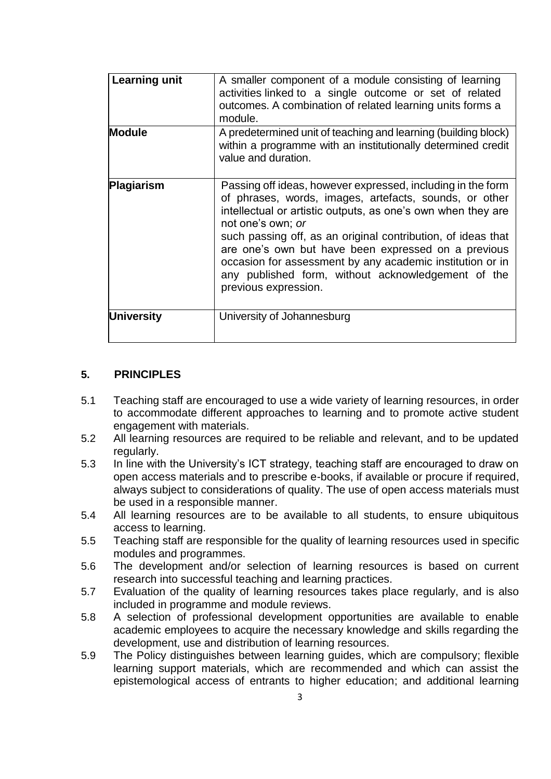| <b>Learning unit</b> | A smaller component of a module consisting of learning<br>activities linked to a single outcome or set of related<br>outcomes. A combination of related learning units forms a<br>module.                                                                                                                                                                                                                                                                                    |
|----------------------|------------------------------------------------------------------------------------------------------------------------------------------------------------------------------------------------------------------------------------------------------------------------------------------------------------------------------------------------------------------------------------------------------------------------------------------------------------------------------|
| <b>Module</b>        | A predetermined unit of teaching and learning (building block)<br>within a programme with an institutionally determined credit<br>value and duration.                                                                                                                                                                                                                                                                                                                        |
| Plagiarism           | Passing off ideas, however expressed, including in the form<br>of phrases, words, images, artefacts, sounds, or other<br>intellectual or artistic outputs, as one's own when they are<br>not one's own; or<br>such passing off, as an original contribution, of ideas that<br>are one's own but have been expressed on a previous<br>occasion for assessment by any academic institution or in<br>any published form, without acknowledgement of the<br>previous expression. |
| University           | University of Johannesburg                                                                                                                                                                                                                                                                                                                                                                                                                                                   |

## <span id="page-5-0"></span>**5. PRINCIPLES**

- 5.1 Teaching staff are encouraged to use a wide variety of learning resources, in order to accommodate different approaches to learning and to promote active student engagement with materials.
- 5.2 All learning resources are required to be reliable and relevant, and to be updated regularly.
- 5.3 In line with the University's ICT strategy, teaching staff are encouraged to draw on open access materials and to prescribe e-books, if available or procure if required, always subject to considerations of quality. The use of open access materials must be used in a responsible manner.
- 5.4 All learning resources are to be available to all students, to ensure ubiquitous access to learning.
- 5.5 Teaching staff are responsible for the quality of learning resources used in specific modules and programmes.
- 5.6 The development and/or selection of learning resources is based on current research into successful teaching and learning practices.
- 5.7 Evaluation of the quality of learning resources takes place regularly, and is also included in programme and module reviews.
- 5.8 A selection of professional development opportunities are available to enable academic employees to acquire the necessary knowledge and skills regarding the development, use and distribution of learning resources.
- 5.9 The Policy distinguishes between learning guides, which are compulsory; flexible learning support materials, which are recommended and which can assist the epistemological access of entrants to higher education; and additional learning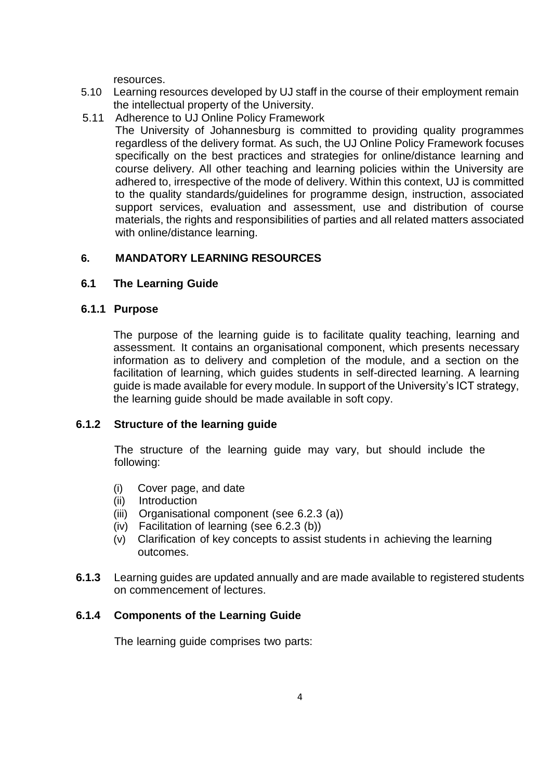resources.

- 5.10 Learning resources developed by UJ staff in the course of their employment remain the intellectual property of the University.
- 5.11 Adherence to UJ Online Policy Framework
	- The University of Johannesburg is committed to providing quality programmes regardless of the delivery format. As such, the UJ Online Policy Framework focuses specifically on the best practices and strategies for online/distance learning and course delivery. All other teaching and learning policies within the University are adhered to, irrespective of the mode of delivery. Within this context, UJ is committed to the quality standards/guidelines for programme design, instruction, associated support services, evaluation and assessment, use and distribution of course materials, the rights and responsibilities of parties and all related matters associated with online/distance learning.

## **6. MANDATORY LEARNING RESOURCES**

#### **6.1 The Learning Guide**

#### **6.1.1 Purpose**

The purpose of the learning guide is to facilitate quality teaching, learning and assessment. It contains an organisational component, which presents necessary information as to delivery and completion of the module, and a section on the facilitation of learning, which guides students in self-directed learning. A learning guide is made available for every module. In support of the University's ICT strategy, the learning guide should be made available in soft copy.

#### **6.1.2 Structure of the learning guide**

The structure of the learning guide may vary, but should include the following:

- (i) Cover page, and date
- (ii) Introduction
- (iii) Organisational component (see 6.2.3 (a))
- (iv) Facilitation of learning (see 6.2.3 (b))
- (v) Clarification of key concepts to assist students in achieving the learning outcomes.
- **6.1.3** Learning guides are updated annually and are made available to registered students on commencement of lectures.

#### **6.1.4 Components of the Learning Guide**

The learning guide comprises two parts: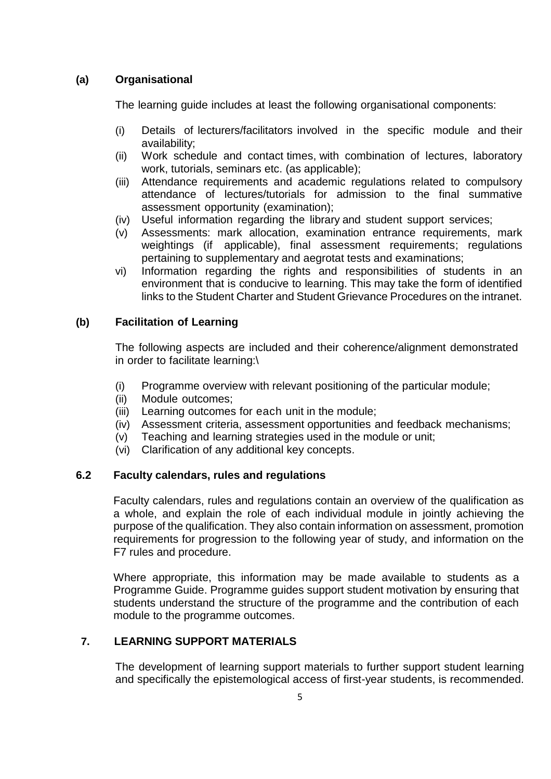## **(a) Organisational**

The learning guide includes at least the following organisational components:

- (i) Details of lecturers/facilitators involved in the specific module and their availability;
- (ii) Work schedule and contact times, with combination of lectures, laboratory work, tutorials, seminars etc. (as applicable);
- (iii) Attendance requirements and academic regulations related to compulsory attendance of lectures/tutorials for admission to the final summative assessment opportunity (examination);
- (iv) Useful information regarding the library and student support services;
- (v) Assessments: mark allocation, examination entrance requirements, mark weightings (if applicable), final assessment requirements; regulations pertaining to supplementary and aegrotat tests and examinations;
- vi) Information regarding the rights and responsibilities of students in an environment that is conducive to learning. This may take the form of identified links to the Student Charter and Student Grievance Procedures on the intranet.

#### **(b) Facilitation of Learning**

The following aspects are included and their coherence/alignment demonstrated in order to facilitate learning:\

- (i) Programme overview with relevant positioning of the particular module;
- (ii) Module outcomes;
- (iii) Learning outcomes for each unit in the module;
- (iv) Assessment criteria, assessment opportunities and feedback mechanisms;
- (v) Teaching and learning strategies used in the module or unit;
- (vi) Clarification of any additional key concepts.

#### **6.2 Faculty calendars, rules and regulations**

Faculty calendars, rules and regulations contain an overview of the qualification as a whole, and explain the role of each individual module in jointly achieving the purpose of the qualification. They also contain information on assessment, promotion requirements for progression to the following year of study, and information on the F7 rules and procedure.

Where appropriate, this information may be made available to students as a Programme Guide. Programme guides support student motivation by ensuring that students understand the structure of the programme and the contribution of each module to the programme outcomes.

#### **7. LEARNING SUPPORT MATERIALS**

The development of learning support materials to further support student learning and specifically the epistemological access of first-year students, is recommended.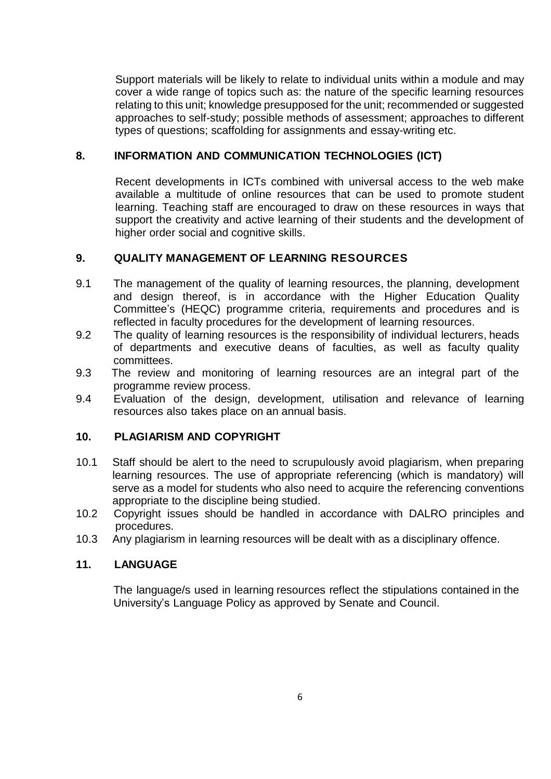Support materials will be likely to relate to individual units within a module and may cover a wide range of topics such as: the nature of the specific learning resources relating to this unit; knowledge presupposed for the unit; recommended or suggested approaches to self-study; possible methods of assessment; approaches to different types of questions; scaffolding for assignments and essay-writing etc.

### **8. INFORMATION AND COMMUNICATION TECHNOLOGIES (ICT)**

Recent developments in ICTs combined with universal access to the web make available a multitude of online resources that can be used to promote student learning. Teaching staff are encouraged to draw on these resources in ways that support the creativity and active learning of their students and the development of higher order social and cognitive skills.

## **9. QUALITY MANAGEMENT OF LEARNING RESOURCES**

- 9.1 The management of the quality of learning resources, the planning, development and design thereof, is in accordance with the Higher Education Quality Committee's (HEQC) programme criteria, requirements and procedures and is reflected in faculty procedures for the development of learning resources.
- 9.2 The quality of learning resources is the responsibility of individual lecturers, heads of departments and executive deans of faculties, as well as faculty quality committees.
- 9.3 The review and monitoring of learning resources are an integral part of the programme review process.
- 9.4 Evaluation of the design, development, utilisation and relevance of learning resources also takes place on an annual basis.

#### **10. PLAGIARISM AND COPYRIGHT**

- 10.1 Staff should be alert to the need to scrupulously avoid plagiarism, when preparing learning resources. The use of appropriate referencing (which is mandatory) will serve as a model for students who also need to acquire the referencing conventions appropriate to the discipline being studied.
- 10.2 Copyright issues should be handled in accordance with DALRO principles and procedures.
- 10.3 Any plagiarism in learning resources will be dealt with as a disciplinary offence.

#### **11. LANGUAGE**

The language/s used in learning resources reflect the stipulations contained in the University's Language Policy as approved by Senate and Council.